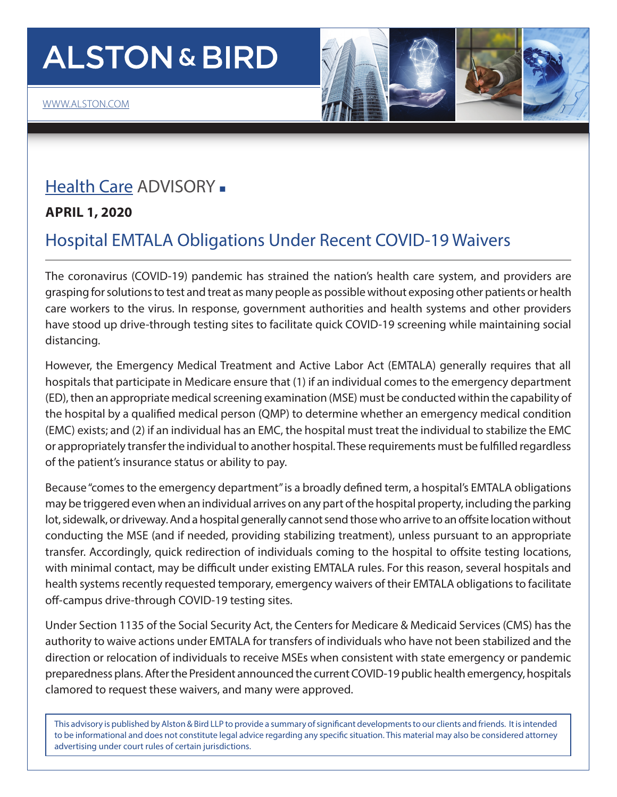# **ALSTON & BIRD**

### [Health Care](https://www.alston.com/en/services/industries/health-care-life-sciences/health-care) ADVISORY -

**APRIL 1, 2020**

### Hospital EMTALA Obligations Under Recent COVID-19 Waivers

The coronavirus (COVID-19) pandemic has strained the nation's health care system, and providers are grasping for solutions to test and treat as many people as possible without exposing other patients or health care workers to the virus. In response, government authorities and health systems and other providers have stood up drive-through testing sites to facilitate quick COVID-19 screening while maintaining social distancing.

However, the Emergency Medical Treatment and Active Labor Act (EMTALA) generally requires that all hospitals that participate in Medicare ensure that (1) if an individual comes to the emergency department (ED), then an appropriate medical screening examination (MSE) must be conducted within the capability of the hospital by a qualified medical person (QMP) to determine whether an emergency medical condition (EMC) exists; and (2) if an individual has an EMC, the hospital must treat the individual to stabilize the EMC or appropriately transfer the individual to another hospital. These requirements must be fulfilled regardless of the patient's insurance status or ability to pay.

Because "comes to the emergency department" is a broadly defined term, a hospital's EMTALA obligations may be triggered even when an individual arrives on any part of the hospital property, including the parking lot, sidewalk, or driveway. And a hospital generally cannot send those who arrive to an offsite location without conducting the MSE (and if needed, providing stabilizing treatment), unless pursuant to an appropriate transfer. Accordingly, quick redirection of individuals coming to the hospital to offsite testing locations, with minimal contact, may be difficult under existing EMTALA rules. For this reason, several hospitals and health systems recently requested temporary, emergency waivers of their EMTALA obligations to facilitate off-campus drive-through COVID-19 testing sites.

Under Section 1135 of the Social Security Act, the Centers for Medicare & Medicaid Services (CMS) has the authority to waive actions under EMTALA for transfers of individuals who have not been stabilized and the direction or relocation of individuals to receive MSEs when consistent with state emergency or pandemic preparedness plans. After the President announced the current COVID-19 public health emergency, hospitals clamored to request these waivers, and many were approved.

This advisory is published by Alston & Bird LLP to provide a summary of significant developments to our clients and friends. It is intended to be informational and does not constitute legal advice regarding any specific situation. This material may also be considered attorney advertising under court rules of certain jurisdictions.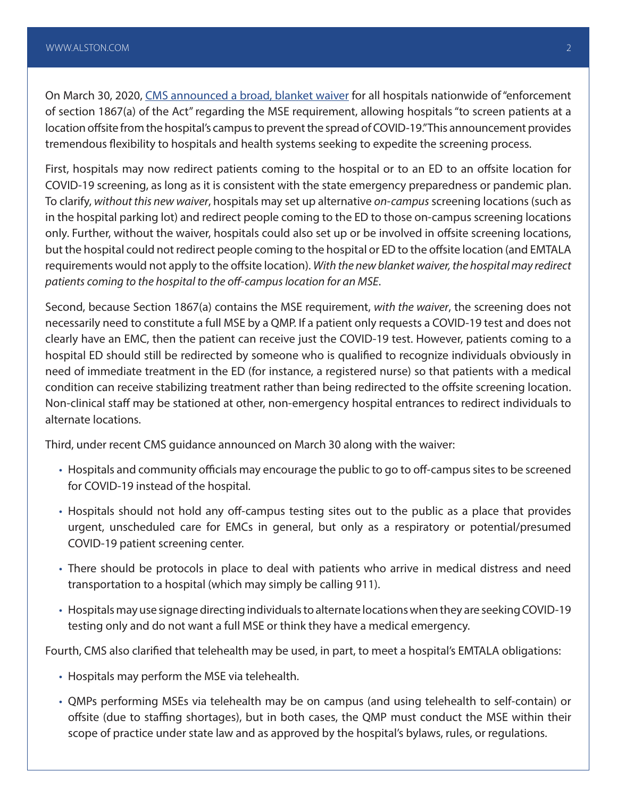On March 30, 2020, [CMS announced a broad, blanket waiver](https://www.cms.gov/files/document/summary-covid-19-emergency-declaration-waivers.pdf) for all hospitals nationwide of "enforcement of section 1867(a) of the Act" regarding the MSE requirement, allowing hospitals "to screen patients at a location offsite from the hospital's campus to prevent the spread of COVID-19." This announcement provides tremendous flexibility to hospitals and health systems seeking to expedite the screening process.

First, hospitals may now redirect patients coming to the hospital or to an ED to an offsite location for COVID-19 screening, as long as it is consistent with the state emergency preparedness or pandemic plan. To clarify, *without this new waiver*, hospitals may set up alternative *on-campus* screening locations (such as in the hospital parking lot) and redirect people coming to the ED to those on-campus screening locations only. Further, without the waiver, hospitals could also set up or be involved in offsite screening locations, but the hospital could not redirect people coming to the hospital or ED to the offsite location (and EMTALA requirements would not apply to the offsite location). *With the new blanket waiver, the hospital may redirect patients coming to the hospital to the off-campus location for an MSE*.

Second, because Section 1867(a) contains the MSE requirement, *with the waiver*, the screening does not necessarily need to constitute a full MSE by a QMP. If a patient only requests a COVID-19 test and does not clearly have an EMC, then the patient can receive just the COVID-19 test. However, patients coming to a hospital ED should still be redirected by someone who is qualified to recognize individuals obviously in need of immediate treatment in the ED (for instance, a registered nurse) so that patients with a medical condition can receive stabilizing treatment rather than being redirected to the offsite screening location. Non-clinical staff may be stationed at other, non-emergency hospital entrances to redirect individuals to alternate locations.

Third, under recent CMS guidance announced on March 30 along with the waiver:

- Hospitals and community officials may encourage the public to go to off-campus sites to be screened for COVID-19 instead of the hospital.
- Hospitals should not hold any off-campus testing sites out to the public as a place that provides urgent, unscheduled care for EMCs in general, but only as a respiratory or potential/presumed COVID-19 patient screening center.
- There should be protocols in place to deal with patients who arrive in medical distress and need transportation to a hospital (which may simply be calling 911).
- Hospitals may use signage directing individuals to alternate locations when they are seeking COVID-19 testing only and do not want a full MSE or think they have a medical emergency.

Fourth, CMS also clarified that telehealth may be used, in part, to meet a hospital's EMTALA obligations:

- Hospitals may perform the MSE via telehealth.
- QMPs performing MSEs via telehealth may be on campus (and using telehealth to self-contain) or offsite (due to staffing shortages), but in both cases, the QMP must conduct the MSE within their scope of practice under state law and as approved by the hospital's bylaws, rules, or regulations.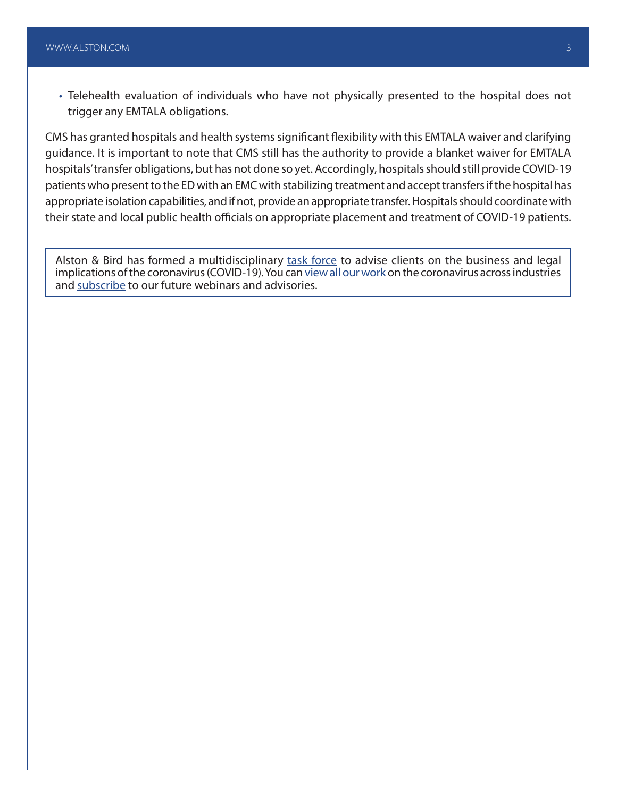• Telehealth evaluation of individuals who have not physically presented to the hospital does not trigger any EMTALA obligations.

CMS has granted hospitals and health systems significant flexibility with this EMTALA waiver and clarifying guidance. It is important to note that CMS still has the authority to provide a blanket waiver for EMTALA hospitals' transfer obligations, but has not done so yet. Accordingly, hospitals should still provide COVID-19 patients who present to the ED with an EMC with stabilizing treatment and accept transfers if the hospital has appropriate isolation capabilities, and if not, provide an appropriate transfer. Hospitals should coordinate with their state and local public health officials on appropriate placement and treatment of COVID-19 patients.

Alston & Bird has formed a multidisciplinary [task force](https://www.alston.com/en/resources/coronavirus/overview) to advise clients on the business and legal implications of the coronavirus (COVID-19). You can [view all our work](https://www.alston.com/en/insights/?keyword=Coronavirus&reload=false&scroll=499.7685546875) on the coronavirus across industries and [subscribe](https://www.alston.com/en/resources/subscriptions-form) to our future webinars and advisories.